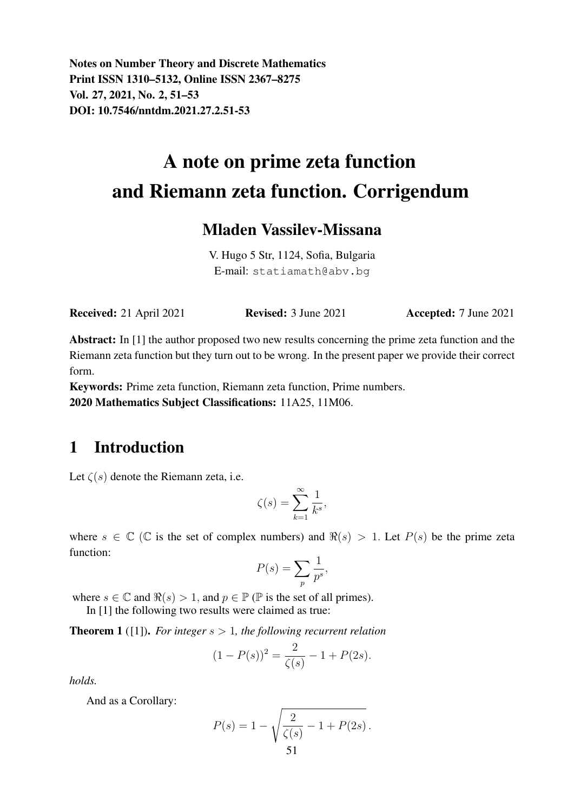Notes on Number Theory and Discrete Mathematics Print ISSN 1310–5132, Online ISSN 2367–8275 Vol. 27, 2021, No. 2, 51–53 DOI: 10.7546/nntdm.2021.27.2.51-53

# A note on prime zeta function and Riemann zeta function. Corrigendum

#### Mladen Vassilev-Missana

V. Hugo 5 Str, 1124, Sofia, Bulgaria E-mail: statiamath@abv.bg

Received: 21 April 2021 Revised: 3 June 2021 Accepted: 7 June 2021

Abstract: In [1] the author proposed two new results concerning the prime zeta function and the Riemann zeta function but they turn out to be wrong. In the present paper we provide their correct form.

Keywords: Prime zeta function, Riemann zeta function, Prime numbers. 2020 Mathematics Subject Classifications: 11A25, 11M06.

## 1 Introduction

Let  $\zeta(s)$  denote the Riemann zeta, i.e.

$$
\zeta(s) = \sum_{k=1}^{\infty} \frac{1}{k^s},
$$

where  $s \in \mathbb{C}$  ( $\mathbb{C}$  is the set of complex numbers) and  $\Re(s) > 1$ . Let  $P(s)$  be the prime zeta function:

$$
P(s) = \sum_{p} \frac{1}{p^s},
$$

where  $s \in \mathbb{C}$  and  $\Re(s) > 1$ , and  $p \in \mathbb{P}$  ( $\mathbb{P}$  is the set of all primes).

In [1] the following two results were claimed as true:

Theorem 1 ([1]). *For integer* s > 1*, the following recurrent relation*

$$
(1 - P(s))^2 = \frac{2}{\zeta(s)} - 1 + P(2s).
$$

*holds.*

And as a Corollary:

$$
P(s) = 1 - \sqrt{\frac{2}{\zeta(s)} - 1 + P(2s)}.
$$
  
51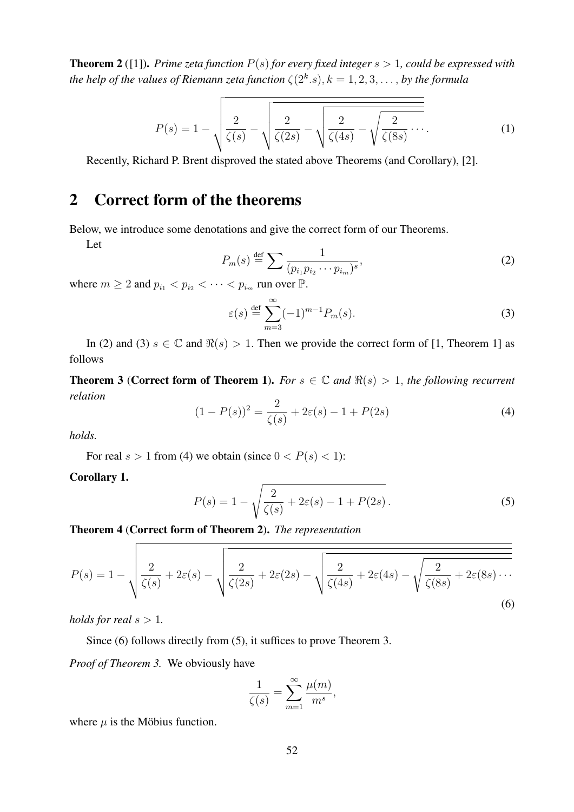**Theorem 2** ([1]). *Prime zeta function*  $P(s)$  *for every fixed integer*  $s > 1$ *, could be expressed with the help of the values of Riemann zeta function*  $\zeta(2^k.s), k = 1, 2, 3, \ldots$ , *by the formula* 

$$
P(s) = 1 - \sqrt{\frac{2}{\zeta(s)} - \sqrt{\frac{2}{\zeta(2s)} - \sqrt{\frac{2}{\zeta(4s)} - \sqrt{\frac{2}{\zeta(8s)} \cdots}}}}.
$$
(1)

Recently, Richard P. Brent disproved the stated above Theorems (and Corollary), [2].

## 2 Correct form of the theorems

Below, we introduce some denotations and give the correct form of our Theorems.

Let

$$
P_m(s) \stackrel{\text{def}}{=} \sum \frac{1}{(p_{i_1} p_{i_2} \cdots p_{i_m})^s},\tag{2}
$$

where  $m \geq 2$  and  $p_{i_1} < p_{i_2} < \cdots < p_{i_m}$  run over  $\mathbb{P}$ .

$$
\varepsilon(s) \stackrel{\text{def}}{=} \sum_{m=3}^{\infty} (-1)^{m-1} P_m(s). \tag{3}
$$

In (2) and (3)  $s \in \mathbb{C}$  and  $\Re(s) > 1$ . Then we provide the correct form of [1, Theorem 1] as follows

**Theorem 3 (Correct form of Theorem 1).** *For*  $s \in \mathbb{C}$  and  $\Re(s) > 1$ , the following recurrent *relation*

$$
(1 - P(s))^2 = \frac{2}{\zeta(s)} + 2\varepsilon(s) - 1 + P(2s)
$$
\n(4)

*holds.*

For real  $s > 1$  from (4) we obtain (since  $0 < P(s) < 1$ ):

Corollary 1.

$$
P(s) = 1 - \sqrt{\frac{2}{\zeta(s)} + 2\varepsilon(s) - 1 + P(2s)}.
$$
 (5)

Theorem 4 (Correct form of Theorem 2). *The representation*

$$
P(s) = 1 - \sqrt{\frac{2}{\zeta(s)} + 2\varepsilon(s) - \sqrt{\frac{2}{\zeta(2s)} + 2\varepsilon(2s) - \sqrt{\frac{2}{\zeta(4s)} + 2\varepsilon(4s) - \sqrt{\frac{2}{\zeta(8s)} + 2\varepsilon(8s) \cdots}}}}
$$
(6)

*holds for real*  $s > 1$ *.* 

Since (6) follows directly from (5), it suffices to prove Theorem 3.

*Proof of Theorem 3.* We obviously have

$$
\frac{1}{\zeta(s)} = \sum_{m=1}^{\infty} \frac{\mu(m)}{m^s},
$$

where  $\mu$  is the Möbius function.